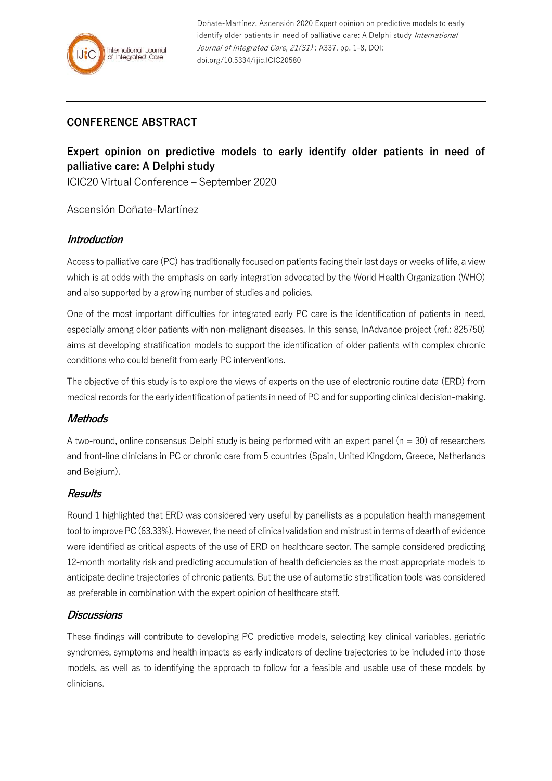# **CONFERENCE ABSTRACT**

# **Expert opinion on predictive models to early identify older patients in need of palliative care: A Delphi study**

ICIC20 Virtual Conference – September 2020

# Ascensión Doñate-Martínez

#### **Introduction**

Access to palliative care (PC) has traditionally focused on patients facing their last days or weeks of life, a view which is at odds with the emphasis on early integration advocated by the World Health Organization (WHO) and also supported by a growing number of studies and policies.

One of the most important difficulties for integrated early PC care is the identification of patients in need, especially among older patients with non-malignant diseases. In this sense, InAdvance project (ref.: 825750) aims at developing stratification models to support the identification of older patients with complex chronic conditions who could benefit from early PC interventions.

The objective of this study is to explore the views of experts on the use of electronic routine data (ERD) from medical records for the early identification of patients in need of PC and for supporting clinical decision-making.

# **Methods**

A two-round, online consensus Delphi study is being performed with an expert panel ( $n = 30$ ) of researchers and front-line clinicians in PC or chronic care from 5 countries (Spain, United Kingdom, Greece, Netherlands and Belgium).

# **Results**

Round 1 highlighted that ERD was considered very useful by panellists as a population health management tool to improve PC (63.33%). However, the need of clinical validation and mistrust in terms of dearth of evidence were identified as critical aspects of the use of ERD on healthcare sector. The sample considered predicting 12-month mortality risk and predicting accumulation of health deficiencies as the most appropriate models to anticipate decline trajectories of chronic patients. But the use of automatic stratification tools was considered as preferable in combination with the expert opinion of healthcare staff.

# **Discussions**

These findings will contribute to developing PC predictive models, selecting key clinical variables, geriatric syndromes, symptoms and health impacts as early indicators of decline trajectories to be included into those models, as well as to identifying the approach to follow for a feasible and usable use of these models by clinicians.